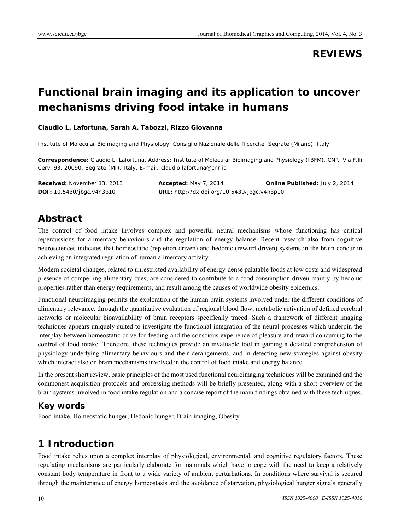## **REVIEWS**

# **Functional brain imaging and its application to uncover mechanisms driving food intake in humans**

#### **Claudio L. Lafortuna, Sarah A. Tabozzi, Rizzo Giovanna**

Institute of Molecular Bioimaging and Physiology, Consiglio Nazionale delle Ricerche, Segrate (Milano), Italy

**Correspondence:** Claudio L. Lafortuna. Address: Institute of Molecular Bioimaging and Physiology (IBFM), CNR, Via F.lli Cervi 93, 20090, Segrate (MI), Italy. E-mail: claudio.lafortuna@cnr.it

**Received:** November 13, 2013 **Accepted:** May 7, 2014 **Online Published:** July 2, 2014 **DOI:** 10.5430/jbgc.v4n3p10 **URL:** http://dx.doi.org/10.5430/jbgc.v4n3p10

## **Abstract**

The control of food intake involves complex and powerful neural mechanisms whose functioning has critical repercussions for alimentary behaviours and the regulation of energy balance. Recent research also from cognitive neurosciences indicates that homeostatic (repletion-driven) and hedonic (reward-driven) systems in the brain concur in achieving an integrated regulation of human alimentary activity.

Modern societal changes, related to unrestricted availability of energy-dense palatable foods at low costs and widespread presence of compelling alimentary cues, are considered to contribute to a food consumption driven mainly by hedonic properties rather than energy requirements, and result among the causes of worldwide obesity epidemics.

Functional neuroimaging permits the exploration of the human brain systems involved under the different conditions of alimentary relevance, through the quantitative evaluation of regional blood flow, metabolic activation of defined cerebral networks or molecular bioavailability of brain receptors specifically traced. Such a framework of different imaging techniques appears uniquely suited to investigate the functional integration of the neural processes which underpin the interplay between homeostatic drive for feeding and the conscious experience of pleasure and reward concurring to the control of food intake. Therefore, these techniques provide an invaluable tool in gaining a detailed comprehension of physiology underlying alimentary behaviours and their derangements, and in detecting new strategies against obesity which interact also on brain mechanisms involved in the control of food intake and energy balance.

In the present short review, basic principles of the most used functional neuroimaging techniques will be examined and the commonest acquisition protocols and processing methods will be briefly presented, along with a short overview of the brain systems involved in food intake regulation and a concise report of the main findings obtained with these techniques.

#### **Key words**

Food intake, Homeostatic hunger, Hedonic hunger, Brain imaging, Obesity

## **1 Introduction**

Food intake relies upon a complex interplay of physiological, environmental, and cognitive regulatory factors. These regulating mechanisms are particularly elaborate for mammals which have to cope with the need to keep a relatively constant body temperature in front to a wide variety of ambient perturbations. In conditions where survival is secured through the maintenance of energy homeostasis and the avoidance of starvation, physiological hunger signals generally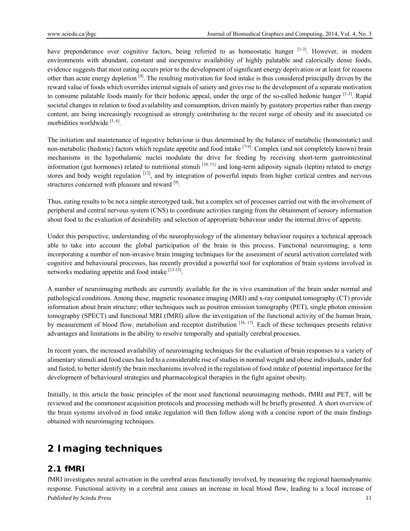have preponderance over cognitive factors, being referred to as homeostatic hunger  $[1-3]$ . However, in modern environments with abundant, constant and inexpensive availability of highly palatable and calorically dense foods, evidence suggests that most eating occurs prior to the development of significant energy deprivation or at least for reasons other than acute energy depletion [4]. The resulting motivation for food intake is thus considered principally driven by the reward value of foods which overrides internal signals of satiety and gives rise to the development of a separate motivation to consume palatable foods mainly for their hedonic appeal, under the urge of the so-called hedonic hunger  $[1-3]$ . Rapid societal changes in relation to food availability and consumption, driven mainly by gustatory properties rather than energy content, are being increasingly recognised as strongly contributing to the recent surge of obesity and its associated co morbidities worldwide  $[5, 6]$ .

The initiation and maintenance of ingestive behaviour is thus determined by the balance of metabolic (homeostatic) and non-metabolic (hedonic) factors which regulate appetite and food intake [7-9]. Complex (and not completely known) brain mechanisms in the hypothalamic nuclei modulate the drive for feeding by receiving short-term gastrointestinal information (gut hormones) related to nutritional stimuli  $[10, 11]$  and long-term adiposity signals (leptin) related to energy stores and body weight regulation  $[12]$ , and by integration of powerful inputs from higher cortical centres and nervous structures concerned with pleasure and reward <sup>[9]</sup>.

Thus, eating results to be not a simple stereotyped task, but a complex set of processes carried out with the involvement of peripheral and central nervous system (CNS) to coordinate activities ranging from the obtainment of sensory information about food to the evaluation of desirability and selection of appropriate behaviour under the internal drive of appetite.

Under this perspective, understanding of the neurophysiology of the alimentary behaviour requires a technical approach able to take into account the global participation of the brain in this process. Functional neuroimaging, a term incorporating a number of non-invasive brain imaging techniques for the assessment of neural activation correlated with cognitive and behavioural processes, has recently provided a powerful tool for exploration of brain systems involved in networks mediating appetite and food intake  $[13-15]$ .

A number of neuroimaging methods are currently available for the in vivo examination of the brain under normal and pathological conditions. Among these, magnetic resonance imaging (MRI) and x-ray computed tomography (CT) provide information about brain structure; other techniques such as positron emission tomography (PET), single photon emission tomography (SPECT) and functional MRI (fMRI) allow the investigation of the functional activity of the human brain, by measurement of blood flow, metabolism and receptor distribution [16, 17]. Each of these techniques presents relative advantages and limitations in the ability to resolve temporally and spatially cerebral processes.

In recent years, the increased availability of neuroimaging techniques for the evaluation of brain responses to a variety of alimentary stimuli and food cues has led to a considerable rise of studies in normal weight and obese individuals, under fed and fasted, to better identify the brain mechanisms involved in the regulation of food intake of potential importance for the development of behavioural strategies and pharmacological therapies in the fight against obesity.

Initially, in this article the basic principles of the most used functional neuroimaging methods, fMRI and PET, will be reviewed and the commonest acquisition protocols and processing methods will be briefly presented. A short overview of the brain systems involved in food intake regulation will then follow along with a concise report of the main findings obtained with neuroimaging techniques.

## **2 Imaging techniques**

### **2.1 fMRI**

*Published by Sciedu Press* 11 fMRI investigates neural activation in the cerebral areas functionally involved, by measuring the regional haemodynamic response. Functional activity in a cerebral area causes an increase in local blood flow, leading to a local increase of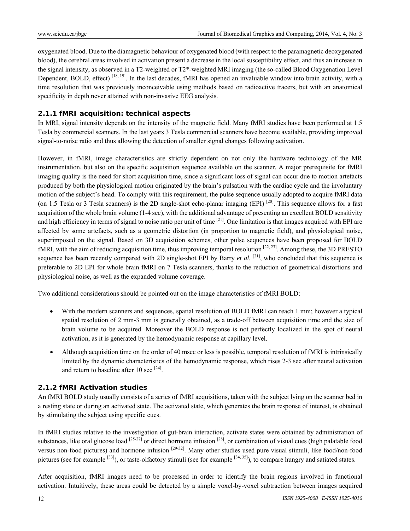oxygenated blood. Due to the diamagnetic behaviour of oxygenated blood (with respect to the paramagnetic deoxygenated blood), the cerebral areas involved in activation present a decrease in the local susceptibility effect, and thus an increase in the signal intensity, as observed in a T2-weighted or T2\*-weighted MRI imaging (the so-called Blood Oxygenation Level Dependent, BOLD, effect)  $^{[18, 19]}$ . In the last decades, fMRI has opened an invaluable window into brain activity, with a time resolution that was previously inconceivable using methods based on radioactive tracers, but with an anatomical specificity in depth never attained with non-invasive EEG analysis.

#### **2.1.1 fMRI acquisition: technical aspects**

In MRI, signal intensity depends on the intensity of the magnetic field. Many fMRI studies have been performed at 1.5 Tesla by commercial scanners. In the last years 3 Tesla commercial scanners have become available, providing improved signal-to-noise ratio and thus allowing the detection of smaller signal changes following activation.

However, in fMRI, image characteristics are strictly dependent on not only the hardware technology of the MR instrumentation, but also on the specific acquisition sequence available on the scanner. A major prerequisite for fMRI imaging quality is the need for short acquisition time, since a significant loss of signal can occur due to motion artefacts produced by both the physiological motion originated by the brain's pulsation with the cardiac cycle and the involuntary motion of the subject's head. To comply with this requirement, the pulse sequence usually adopted to acquire fMRI data (on 1.5 Tesla or 3 Tesla scanners) is the 2D single-shot echo-planar imaging (EPI)  $^{[20]}$ . This sequence allows for a fast acquisition of the whole brain volume (1-4 sec), with the additional advantage of presenting an excellent BOLD sensitivity and high efficiency in terms of signal to noise ratio per unit of time  $[21]$ . One limitation is that images acquired with EPI are affected by some artefacts, such as a geometric distortion (in proportion to magnetic field), and physiological noise, superimposed on the signal. Based on 3D acquisition schemes, other pulse sequences have been proposed for BOLD fMRI, with the aim of reducing acquisition time, thus improving temporal resolution  $[22, 23]$ . Among these, the 3D PRESTO sequence has been recently compared with 2D single-shot EPI by Barry *et al.* [21], who concluded that this sequence is preferable to 2D EPI for whole brain fMRI on 7 Tesla scanners, thanks to the reduction of geometrical distortions and physiological noise, as well as the expanded volume coverage.

Two additional considerations should be pointed out on the image characteristics of fMRI BOLD:

- With the modern scanners and sequences, spatial resolution of BOLD fMRI can reach 1 mm; however a typical spatial resolution of 2 mm-3 mm is generally obtained, as a trade-off between acquisition time and the size of brain volume to be acquired. Moreover the BOLD response is not perfectly localized in the spot of neural activation, as it is generated by the hemodynamic response at capillary level.
- Although acquisition time on the order of 40 msec or less is possible, temporal resolution of fMRI is intrinsically limited by the dynamic characteristics of the hemodynamic response, which rises 2-3 sec after neural activation and return to baseline after 10 sec  $^{[24]}$ .

#### **2.1.2 fMRI Activation studies**

An fMRI BOLD study usually consists of a series of fMRI acquisitions, taken with the subject lying on the scanner bed in a resting state or during an activated state. The activated state, which generates the brain response of interest, is obtained by stimulating the subject using specific cues.

In fMRI studies relative to the investigation of gut-brain interaction, activate states were obtained by administration of substances, like oral glucose load  $[25-27]$  or direct hormone infusion  $[28]$ , or combination of visual cues (high palatable food versus non-food pictures) and hormone infusion [29-32]. Many other studies used pure visual stimuli, like food/non-food pictures (see for example  $[33]$ ), or taste-olfactory stimuli (see for example  $[34, 35]$ ), to compare hungry and satiated states.

After acquisition, fMRI images need to be processed in order to identify the brain regions involved in functional activation. Intuitively, these areas could be detected by a simple voxel-by-voxel subtraction between images acquired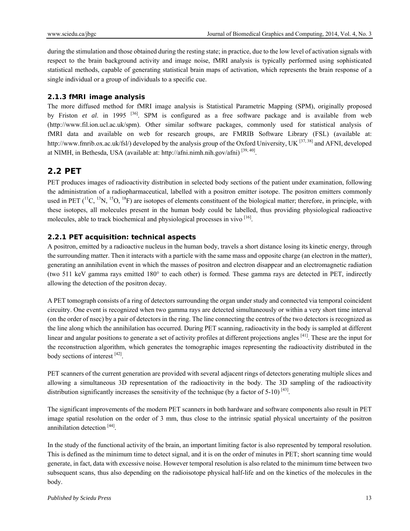during the stimulation and those obtained during the resting state; in practice, due to the low level of activation signals with respect to the brain background activity and image noise, fMRI analysis is typically performed using sophisticated statistical methods, capable of generating statistical brain maps of activation, which represents the brain response of a single individual or a group of individuals to a specific cue.

#### **2.1.3 fMRI image analysis**

The more diffused method for fMRI image analysis is Statistical Parametric Mapping (SPM), originally proposed by Friston *et al*. in 1995 [36]. SPM is configured as a free software package and is available from web (http://www.fil.ion.ucl.ac.uk/spm). Other similar software packages, commonly used for statistical analysis of fMRI data and available on web for research groups, are FMRIB Software Library (FSL) (available at: http://www.fmrib.ox.ac.uk/fsl/) developed by the analysis group of the Oxford University, UK <sup>[37, 38]</sup> and AFNI, developed at NIMH, in Bethesda, USA (available at: http://afni.nimh.nih.gov/afni)<sup>[39, 40]</sup>.

### **2.2 PET**

PET produces images of radioactivity distribution in selected body sections of the patient under examination, following the administration of a radiopharmaceutical, labelled with a positron emitter isotope. The positron emitters commonly used in PET  $(^{11}C, ^{13}N, ^{15}O, ^{18}F)$  are isotopes of elements constituent of the biological matter; therefore, in principle, with these isotopes, all molecules present in the human body could be labelled, thus providing physiological radioactive molecules, able to track biochemical and physiological processes in vivo [16].

#### **2.2.1 PET acquisition: technical aspects**

A positron, emitted by a radioactive nucleus in the human body, travels a short distance losing its kinetic energy, through the surrounding matter. Then it interacts with a particle with the same mass and opposite charge (an electron in the matter), generating an annihilation event in which the masses of positron and electron disappear and an electromagnetic radiation (two 511 keV gamma rays emitted 180° to each other) is formed. These gamma rays are detected in PET, indirectly allowing the detection of the positron decay.

A PET tomograph consists of a ring of detectors surrounding the organ under study and connected via temporal coincident circuitry. One event is recognized when two gamma rays are detected simultaneously or within a very short time interval (on the order of nsec) by a pair of detectors in the ring. The line connecting the centres of the two detectors is recognized as the line along which the annihilation has occurred. During PET scanning, radioactivity in the body is sampled at different linear and angular positions to generate a set of activity profiles at different projections angles  $[41]$ . These are the input for the reconstruction algorithm, which generates the tomographic images representing the radioactivity distributed in the body sections of interest [42].

PET scanners of the current generation are provided with several adjacent rings of detectors generating multiple slices and allowing a simultaneous 3D representation of the radioactivity in the body. The 3D sampling of the radioactivity distribution significantly increases the sensitivity of the technique (by a factor of 5-10)  $^{[43]}$ .

The significant improvements of the modern PET scanners in both hardware and software components also result in PET image spatial resolution on the order of 3 mm, thus close to the intrinsic spatial physical uncertainty of the positron annihilation detection [44].

In the study of the functional activity of the brain, an important limiting factor is also represented by temporal resolution. This is defined as the minimum time to detect signal, and it is on the order of minutes in PET; short scanning time would generate, in fact, data with excessive noise. However temporal resolution is also related to the minimum time between two subsequent scans, thus also depending on the radioisotope physical half-life and on the kinetics of the molecules in the body.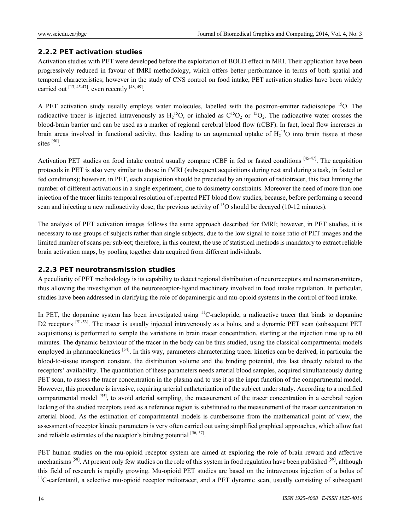#### **2.2.2 PET activation studies**

Activation studies with PET were developed before the exploitation of BOLD effect in MRI. Their application have been progressively reduced in favour of fMRI methodology, which offers better performance in terms of both spatial and temporal characteristics; however in the study of CNS control on food intake, PET activation studies have been widely carried out  $^{[13, 45-47]}$ , even recently  $^{[48, 49]}$ .

A PET activation study usually employs water molecules, labelled with the positron-emitter radioisotope <sup>15</sup>O. The radioactive tracer is injected intravenously as  $H_2^{15}O$ , or inhaled as  $C^{15}O_2$  or  $^{15}O_2$ . The radioactive water crosses the blood-brain barrier and can be used as a marker of regional cerebral blood flow (rCBF). In fact, local flow increases in brain areas involved in functional activity, thus leading to an augmented uptake of  $H_2$ <sup>15</sup>O into brain tissue at those sites [50].

Activation PET studies on food intake control usually compare rCBF in fed or fasted conditions [45-47]. The acquisition protocols in PET is also very similar to those in fMRI (subsequent acquisitions during rest and during a task, in fasted or fed conditions); however, in PET, each acquisition should be preceded by an injection of radiotracer, this fact limiting the number of different activations in a single experiment, due to dosimetry constraints. Moreover the need of more than one injection of the tracer limits temporal resolution of repeated PET blood flow studies, because, before performing a second scan and injecting a new radioactivity dose, the previous activity of <sup>15</sup>O should be decayed (10-12 minutes).

The analysis of PET activation images follows the same approach described for fMRI; however, in PET studies, it is necessary to use groups of subjects rather than single subjects, due to the low signal to noise ratio of PET images and the limited number of scans per subject; therefore, in this context, the use of statistical methods is mandatory to extract reliable brain activation maps, by pooling together data acquired from different individuals.

#### **2.2.3 PET neurotransmission studies**

A peculiarity of PET methodology is its capability to detect regional distribution of neuroreceptors and neurotransmitters, thus allowing the investigation of the neuroreceptor-ligand machinery involved in food intake regulation. In particular, studies have been addressed in clarifying the role of dopaminergic and mu-opioid systems in the control of food intake.

In PET, the dopamine system has been investigated using  $<sup>11</sup>C$ -raclopride, a radioactive tracer that binds to dopamine</sup> D2 receptors <sup>[51-53]</sup>. The tracer is usually injected intravenously as a bolus, and a dynamic PET scan (subsequent PET acquisitions) is performed to sample the variations in brain tracer concentration, starting at the injection time up to 60 minutes. The dynamic behaviour of the tracer in the body can be thus studied, using the classical compartmental models employed in pharmacokinetics <sup>[54]</sup>. In this way, parameters characterizing tracer kinetics can be derived, in particular the blood-to-tissue transport constant, the distribution volume and the binding potential, this last directly related to the receptors' availability. The quantitation of these parameters needs arterial blood samples, acquired simultaneously during PET scan, to assess the tracer concentration in the plasma and to use it as the input function of the compartmental model. However, this procedure is invasive, requiring arterial catheterization of the subject under study. According to a modified compartmental model  $[55]$ , to avoid arterial sampling, the measurement of the tracer concentration in a cerebral region lacking of the studied receptors used as a reference region is substituted to the measurement of the tracer concentration in arterial blood. As the estimation of compartmental models is cumbersome from the mathematical point of view, the assessment of receptor kinetic parameters is very often carried out using simplified graphical approaches, which allow fast and reliable estimates of the receptor's binding potential  $[56, 57]$ .

PET human studies on the mu-opioid receptor system are aimed at exploring the role of brain reward and affective mechanisms <sup>[58]</sup>. At present only few studies on the role of this system in food regulation have been published <sup>[59]</sup>, although this field of research is rapidly growing. Mu-opioid PET studies are based on the intravenous injection of a bolus of  $11C$ -carfentanil, a selective mu-opioid receptor radiotracer, and a PET dynamic scan, usually consisting of subsequent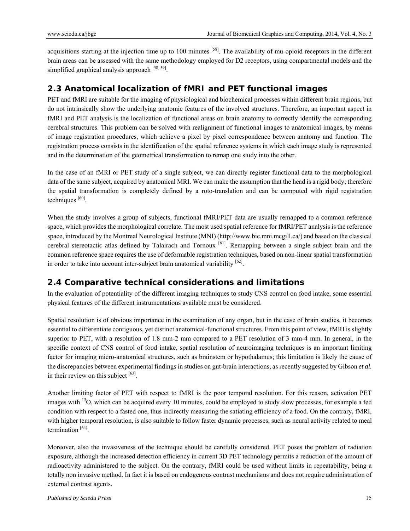acquisitions starting at the injection time up to 100 minutes  $^{[58]}$ . The availability of mu-opioid receptors in the different brain areas can be assessed with the same methodology employed for D2 receptors, using compartmental models and the simplified graphical analysis approach  $[58, 59]$ .

### **2.3 Anatomical localization of fMRI and PET functional images**

PET and fMRI are suitable for the imaging of physiological and biochemical processes within different brain regions, but do not intrinsically show the underlying anatomic features of the involved structures. Therefore, an important aspect in fMRI and PET analysis is the localization of functional areas on brain anatomy to correctly identify the corresponding cerebral structures. This problem can be solved with realignment of functional images to anatomical images, by means of image registration procedures, which achieve a pixel by pixel correspondence between anatomy and function. The registration process consists in the identification of the spatial reference systems in which each image study is represented and in the determination of the geometrical transformation to remap one study into the other.

In the case of an fMRI or PET study of a single subject, we can directly register functional data to the morphological data of the same subject, acquired by anatomical MRI. We can make the assumption that the head is a rigid body; therefore the spatial transformation is completely defined by a roto-translation and can be computed with rigid registration techniques  $[60]$ .

When the study involves a group of subjects, functional fMRI/PET data are usually remapped to a common reference space, which provides the morphological correlate. The most used spatial reference for fMRI/PET analysis is the reference space, introduced by the Montreal Neurological Institute (MNI) (http://www.bic.mni.mcgill.ca/) and based on the classical cerebral stereotactic atlas defined by Talairach and Tornoux [61]. Remapping between a single subject brain and the common reference space requires the use of deformable registration techniques, based on non-linear spatial transformation in order to take into account inter-subject brain anatomical variability  $[62]$ .

## **2.4 Comparative technical considerations and limitations**

In the evaluation of potentiality of the different imaging techniques to study CNS control on food intake, some essential physical features of the different instrumentations available must be considered.

Spatial resolution is of obvious importance in the examination of any organ, but in the case of brain studies, it becomes essential to differentiate contiguous, yet distinct anatomical-functional structures. From this point of view, fMRI is slightly superior to PET, with a resolution of 1.8 mm-2 mm compared to a PET resolution of 3 mm-4 mm. In general, in the specific context of CNS control of food intake, spatial resolution of neuroimaging techniques is an important limiting factor for imaging micro-anatomical structures, such as brainstem or hypothalamus; this limitation is likely the cause of the discrepancies between experimental findings in studies on gut-brain interactions, as recently suggested by Gibson *et al*. in their review on this subject  $[63]$ .

Another limiting factor of PET with respect to fMRI is the poor temporal resolution. For this reason, activation PET images with <sup>15</sup>O, which can be acquired every 10 minutes, could be employed to study slow processes, for example a fed condition with respect to a fasted one, thus indirectly measuring the satiating efficiency of a food. On the contrary, fMRI, with higher temporal resolution, is also suitable to follow faster dynamic processes, such as neural activity related to meal termination [64].

Moreover, also the invasiveness of the technique should be carefully considered. PET poses the problem of radiation exposure, although the increased detection efficiency in current 3D PET technology permits a reduction of the amount of radioactivity administered to the subject. On the contrary, fMRI could be used without limits in repeatability, being a totally non invasive method. In fact it is based on endogenous contrast mechanisms and does not require administration of external contrast agents.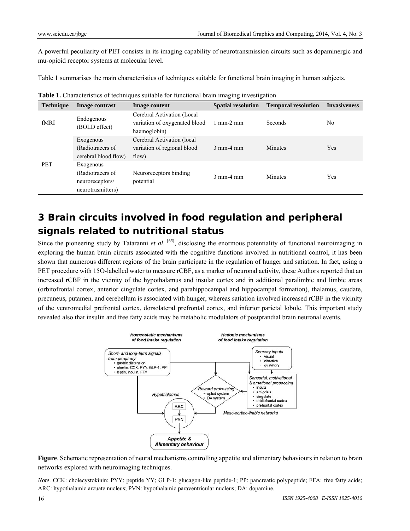A powerful peculiarity of PET consists in its imaging capability of neurotransmission circuits such as dopaminergic and mu-opioid receptor systems at molecular level.

Table 1 summarises the main characteristics of techniques suitable for functional brain imaging in human subjects.

| <b>Technique</b> | Image contrast                                                        | Image content                                                               | <b>Spatial resolution</b>   | <b>Temporal resolution</b> | <b>Invasiveness</b> |
|------------------|-----------------------------------------------------------------------|-----------------------------------------------------------------------------|-----------------------------|----------------------------|---------------------|
| fMRI             | Endogenous<br>(BOLD effect)                                           | Cerebral Activation (Local<br>variation of oxygenated blood<br>haemoglobin) | $1 \text{ mm-}2 \text{ mm}$ | Seconds                    | No.                 |
| <b>PET</b>       | Exogenous<br>(Radiotracers of<br>cerebral blood flow)                 | Cerebral Activation (local<br>variation of regional blood<br>flow)          | $3$ mm-4 mm                 | <b>Minutes</b>             | Yes                 |
|                  | Exogenous<br>(Radiotracers of<br>neuroreceptors/<br>neurotrasmitters) | Neuroreceptors binding<br>potential                                         | $3 \text{ mm}$ -4 mm        | Minutes                    | Yes                 |

**Table 1.** Characteristics of techniques suitable for functional brain imaging investigation

## **3 Brain circuits involved in food regulation and peripheral signals related to nutritional status**

Since the pioneering study by Tataranni *et al*. [65], disclosing the enormous potentiality of functional neuroimaging in exploring the human brain circuits associated with the cognitive functions involved in nutritional control, it has been shown that numerous different regions of the brain participate in the regulation of hunger and satiation. In fact, using a PET procedure with 15O-labelled water to measure rCBF, as a marker of neuronal activity, these Authors reported that an increased rCBF in the vicinity of the hypothalamus and insular cortex and in additional paralimbic and limbic areas (orbitofrontal cortex, anterior cingulate cortex, and parahippocampal and hippocampal formation), thalamus, caudate, precuneus, putamen, and cerebellum is associated with hunger, whereas satiation involved increased rCBF in the vicinity of the ventromedial prefrontal cortex, dorsolateral prefrontal cortex, and inferior parietal lobule. This important study revealed also that insulin and free fatty acids may be metabolic modulators of postprandial brain neuronal events.



**Figure**. Schematic representation of neural mechanisms controlling appetite and alimentary behaviours in relation to brain networks explored with neuroimaging techniques.

*Note*. CCK: cholecystokinin; PYY: peptide YY; GLP-1: glucagon-like peptide-1; PP: pancreatic polypeptide; FFA: free fatty acids; ARC: hypothalamic arcuate nucleus; PVN: hypothalamic paraventricular nucleus; DA: dopamine.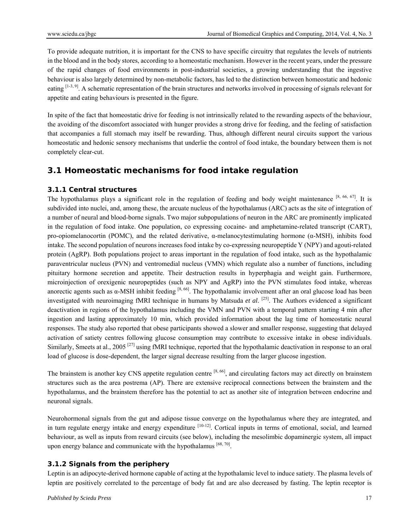To provide adequate nutrition, it is important for the CNS to have specific circuitry that regulates the levels of nutrients in the blood and in the body stores, according to a homeostatic mechanism. However in the recent years, under the pressure of the rapid changes of food environments in post-industrial societies, a growing understanding that the ingestive behaviour is also largely determined by non-metabolic factors, has led to the distinction between homeostatic and hedonic eating [1-3, 9]. A schematic representation of the brain structures and networks involved in processing of signals relevant for appetite and eating behaviours is presented in the figure.

In spite of the fact that homeostatic drive for feeding is not intrinsically related to the rewarding aspects of the behaviour, the avoiding of the discomfort associated with hunger provides a strong drive for feeding, and the feeling of satisfaction that accompanies a full stomach may itself be rewarding. Thus, although different neural circuits support the various homeostatic and hedonic sensory mechanisms that underlie the control of food intake, the boundary between them is not completely clear-cut.

## **3.1 Homeostatic mechanisms for food intake regulation**

#### **3.1.1 Central structures**

The hypothalamus plays a significant role in the regulation of feeding and body weight maintenance  $[8, 66, 67]$ . It is subdivided into nuclei, and, among these, the arcuate nucleus of the hypothalamus (ARC) acts as the site of integration of a number of neural and blood-borne signals. Two major subpopulations of neuron in the ARC are prominently implicated in the regulation of food intake. One population, co expressing cocaine- and amphetamine-related transcript (CART), pro-opiomelanocortin (POMC), and the related derivative, α-melanocytestimulating hormone (α-MSH), inhibits food intake. The second population of neurons increases food intake by co-expressing neuropeptide Y (NPY) and agouti-related protein (AgRP). Both populations project to areas important in the regulation of food intake, such as the hypothalamic paraventricular nucleus (PVN) and ventromedial nucleus (VMN) which regulate also a number of functions, including pituitary hormone secretion and appetite. Their destruction results in hyperphagia and weight gain. Furthermore, microinjection of orexigenic neuropeptides (such as NPY and AgRP) into the PVN stimulates food intake, whereas anorectic agents such as  $\alpha$ -MSH inhibit feeding [8,66]. The hypothalamic involvement after an oral glucose load has been investigated with neuroimaging fMRI technique in humans by Matsuda *et al*. [25]. The Authors evidenced a significant deactivation in regions of the hypothalamus including the VMN and PVN with a temporal pattern starting 4 min after ingestion and lasting approximately 10 min, which provided information about the lag time of homeostatic neural responses. The study also reported that obese participants showed a slower and smaller response, suggesting that delayed activation of satiety centres following glucose consumption may contribute to excessive intake in obese individuals. Similarly, Smeets at al., 2005<sup>[27]</sup> using fMRI technique, reported that the hypothalamic deactivation in response to an oral load of glucose is dose-dependent, the larger signal decrease resulting from the larger glucose ingestion.

The brainstem is another key CNS appetite regulation centre  $[8, 66]$ , and circulating factors may act directly on brainstem structures such as the area postrema (AP). There are extensive reciprocal connections between the brainstem and the hypothalamus, and the brainstem therefore has the potential to act as another site of integration between endocrine and neuronal signals.

Neurohormonal signals from the gut and adipose tissue converge on the hypothalamus where they are integrated, and in turn regulate energy intake and energy expenditure  $[10-12]$ . Cortical inputs in terms of emotional, social, and learned behaviour, as well as inputs from reward circuits (see below), including the mesolimbic dopaminergic system, all impact upon energy balance and communicate with the hypothalamus  $[68, 70]$ .

#### **3.1.2 Signals from the periphery**

Leptin is an adipocyte-derived hormone capable of acting at the hypothalamic level to induce satiety. The plasma levels of leptin are positively correlated to the percentage of body fat and are also decreased by fasting. The leptin receptor is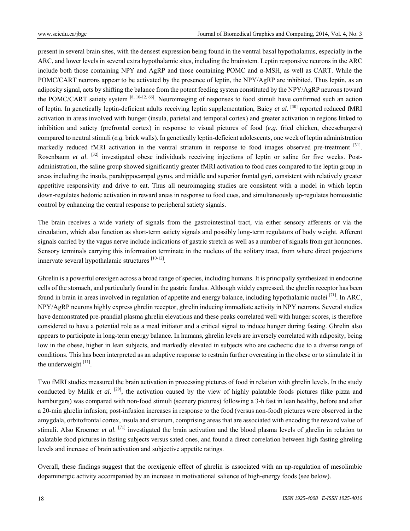present in several brain sites, with the densest expression being found in the ventral basal hypothalamus, especially in the ARC, and lower levels in several extra hypothalamic sites, including the brainstem. Leptin responsive neurons in the ARC include both those containing NPY and AgRP and those containing POMC and  $\alpha$ -MSH, as well as CART. While the POMC/CART neurons appear to be activated by the presence of leptin, the NPY/AgRP are inhibited. Thus leptin, as an adiposity signal, acts by shifting the balance from the potent feeding system constituted by the NPY/AgRP neurons toward the POMC/CART satiety system [8, 10-12, 66]. Neuroimaging of responses to food stimuli have confirmed such an action of leptin. In genetically leptin-deficient adults receiving leptin supplementation, Baicy *et al*. [30] reported reduced fMRI activation in areas involved with hunger (insula, parietal and temporal cortex) and greater activation in regions linked to inhibition and satiety (prefrontal cortex) in response to visual pictures of food (*e.g*. fried chicken, cheeseburgers) compared to neutral stimuli (*e.g.* brick walls). In genetically leptin-deficient adolescents, one week of leptin administration markedly reduced fMRI activation in the ventral striatum in response to food images observed pre-treatment  $[31]$ . Rosenbaum *et al*. [32] investigated obese individuals receiving injections of leptin or saline for five weeks. Postadministration, the saline group showed significantly greater fMRI activation to food cues compared to the leptin group in areas including the insula, parahippocampal gyrus, and middle and superior frontal gyri, consistent with relatively greater appetitive responsivity and drive to eat. Thus all neuroimaging studies are consistent with a model in which leptin down-regulates hedonic activation in reward areas in response to food cues, and simultaneously up-regulates homeostatic control by enhancing the central response to peripheral satiety signals.

The brain receives a wide variety of signals from the gastrointestinal tract, via either sensory afferents or via the circulation, which also function as short-term satiety signals and possibly long-term regulators of body weight. Afferent signals carried by the vagus nerve include indications of gastric stretch as well as a number of signals from gut hormones. Sensory terminals carrying this information terminate in the nucleus of the solitary tract, from where direct projections innervate several hypothalamic structures  $[10-12]$ .

Ghrelin is a powerful orexigen across a broad range of species, including humans. It is principally synthesized in endocrine cells of the stomach, and particularly found in the gastric fundus. Although widely expressed, the ghrelin receptor has been found in brain in areas involved in regulation of appetite and energy balance, including hypothalamic nuclei [71]. In ARC, NPY/AgRP neurons highly express ghrelin receptor, ghrelin inducing immediate activity in NPY neurons. Several studies have demonstrated pre-prandial plasma ghrelin elevations and these peaks correlated well with hunger scores, is therefore considered to have a potential role as a meal initiator and a critical signal to induce hunger during fasting. Ghrelin also appears to participate in long-term energy balance. In humans, ghrelin levels are inversely correlated with adiposity, being low in the obese, higher in lean subjects, and markedly elevated in subjects who are cachectic due to a diverse range of conditions. This has been interpreted as an adaptive response to restrain further overeating in the obese or to stimulate it in the underweight [11].

Two fMRI studies measured the brain activation in processing pictures of food in relation with ghrelin levels. In the study conducted by Malik *et al.* <sup>[29]</sup>, the activation caused by the view of highly palatable foods pictures (like pizza and hamburgers) was compared with non-food stimuli (scenery pictures) following a 3-h fast in lean healthy, before and after a 20-min ghrelin infusion; post-infusion increases in response to the food (versus non-food) pictures were observed in the amygdala, orbitofrontal cortex, insula and striatum, comprising areas that are associated with encoding the reward value of stimuli. Also Kroemer *et al*. [71] investigated the brain activation and the blood plasma levels of ghrelin in relation to palatable food pictures in fasting subjects versus sated ones, and found a direct correlation between high fasting ghreling levels and increase of brain activation and subjective appetite ratings.

Overall, these findings suggest that the orexigenic effect of ghrelin is associated with an up-regulation of mesolimbic dopaminergic activity accompanied by an increase in motivational salience of high-energy foods (see below).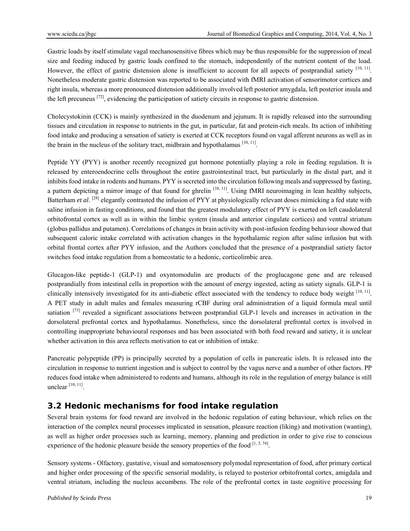Gastric loads by itself stimulate vagal mechanosensitive fibres which may be thus responsible for the suppression of meal size and feeding induced by gastric loads confined to the stomach, independently of the nutrient content of the load. However, the effect of gastric distension alone is insufficient to account for all aspects of postprandial satiety [10, 11]. Nonetheless moderate gastric distension was reported to be associated with fMRI activation of sensorimotor cortices and right insula, whereas a more pronounced distension additionally involved left posterior amygdala, left posterior insula and the left precuneus [72], evidencing the participation of satiety circuits in response to gastric distension.

Cholecystokinin (CCK) is mainly synthesized in the duodenum and jejunum. It is rapidly released into the surrounding tissues and circulation in response to nutrients in the gut, in particular, fat and protein-rich meals. Its action of inhibiting food intake and producing a sensation of satiety is exerted at CCK receptors found on vagal afferent neurons as well as in the brain in the nucleus of the solitary tract, midbrain and hypothalamus  $[10, 11]$ .

Peptide YY (PYY) is another recently recognized gut hormone potentially playing a role in feeding regulation. It is released by enteroendocrine cells throughout the entire gastrointestinal tract, but particularly in the distal part, and it inhibits food intake in rodents and humans. PYY is secreted into the circulation following meals and suppressed by fasting, a pattern depicting a mirror image of that found for ghrelin  $[10, 11]$ . Using fMRI neuroimaging in lean healthy subjects, Batterham *et al.* <sup>[28]</sup> elegantly contrasted the infusion of PYY at physiologically relevant doses mimicking a fed state with saline infusion in fasting conditions, and found that the greatest modulatory effect of PYY is exerted on left caudolateral orbitofrontal cortex as well as in within the limbic system (insula and anterior cingulate cortices) and ventral striatum (globus pallidus and putamen). Correlations of changes in brain activity with post-infusion feeding behaviour showed that subsequent caloric intake correlated with activation changes in the hypothalamic region after saline infusion but with orbital frontal cortex after PYY infusion, and the Authors concluded that the presence of a postprandial satiety factor switches food intake regulation from a homeostatic to a hedonic, corticolimbic area.

Glucagon-like peptide-1 (GLP-1) and oxyntomodulin are products of the proglucagone gene and are released postprandially from intestinal cells in proportion with the amount of energy ingested, acting as satiety signals. GLP-1 is clinically intensively investigated for its anti-diabetic effect associated with the tendency to reduce body weight [10, 11]. A PET study in adult males and females measuring rCBF during oral administration of a liquid formula meal until satiation  $^{[73]}$  revealed a significant associations between postprandial GLP-1 levels and increases in activation in the dorsolateral prefrontal cortex and hypothalamus. Nonetheless, since the dorsolateral prefrontal cortex is involved in controlling inappropriate behavioural responses and has been associated with both food reward and satiety, it is unclear whether activation in this area reflects motivation to eat or inhibition of intake.

Pancreatic polypeptide (PP) is principally secreted by a population of cells in pancreatic islets. It is released into the circulation in response to nutrient ingestion and is subject to control by the vagus nerve and a number of other factors. PP reduces food intake when administered to rodents and humans, although its role in the regulation of energy balance is still unclear [10, 11].

## **3.2 Hedonic mechanisms for food intake regulation**

Several brain systems for food reward are involved in the hedonic regulation of eating behaviour, which relies on the interaction of the complex neural processes implicated in sensation, pleasure reaction (liking) and motivation (wanting), as well as higher order processes such as learning, memory, planning and prediction in order to give rise to conscious experience of the hedonic pleasure beside the sensory properties of the food  $[1, 3, 74]$ .

Sensory systems - Olfactory, gustative, visual and somatosensory polymodal representation of food, after primary cortical and higher order processing of the specific sensorial modality, is relayed to posterior orbitofrontal cortex, amigdala and ventral striatum, including the nucleus accumbens. The role of the prefrontal cortex in taste cognitive processing for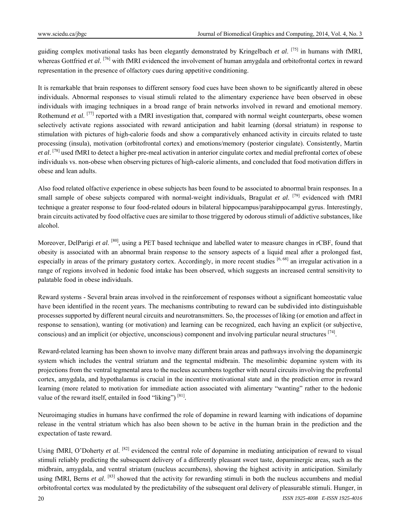guiding complex motivational tasks has been elegantly demonstrated by Kringelbach *et al*. [75] in humans with fMRI, whereas Gottfried *et al.* <sup>[76]</sup> with fMRI evidenced the involvement of human amygdala and orbitofrontal cortex in reward representation in the presence of olfactory cues during appetitive conditioning.

It is remarkable that brain responses to different sensory food cues have been shown to be significantly altered in obese individuals. Abnormal responses to visual stimuli related to the alimentary experience have been observed in obese individuals with imaging techniques in a broad range of brain networks involved in reward and emotional memory. Rothemund *et al.* [77] reported with a fMRI investigation that, compared with normal weight counterparts, obese women selectively activate regions associated with reward anticipation and habit learning (dorsal striatum) in response to stimulation with pictures of high-calorie foods and show a comparatively enhanced activity in circuits related to taste processing (insula), motivation (orbitofrontal cortex) and emotions/memory (posterior cingulate). Consistently, Martin *et al*. [78] used fMRI to detect a higher pre-meal activation in anterior cingulate cortex and medial prefrontal cortex of obese individuals vs. non-obese when observing pictures of high-calorie aliments, and concluded that food motivation differs in obese and lean adults.

Also food related olfactive experience in obese subjects has been found to be associated to abnormal brain responses. In a small sample of obese subjects compared with normal-weight individuals, Bragulat *et al*. [79] evidenced with fMRI technique a greater response to four food-related odours in bilateral hippocampus/parahippocampal gyrus. Interestingly, brain circuits activated by food olfactive cues are similar to those triggered by odorous stimuli of addictive substances, like alcohol.

Moreover, DelParigi *et al.* <sup>[80]</sup>, using a PET based technique and labelled water to measure changes in rCBF, found that obesity is associated with an abnormal brain response to the sensory aspects of a liquid meal after a prolonged fast, especially in areas of the primary gustatory cortex. Accordingly, in more recent studies  $[6, 68]$  an irregular activation in a range of regions involved in hedonic food intake has been observed, which suggests an increased central sensitivity to palatable food in obese individuals.

Reward systems - Several brain areas involved in the reinforcement of responses without a significant homeostatic value have been identified in the recent years. The mechanisms contributing to reward can be subdivided into distinguishable processes supported by different neural circuits and neurotransmitters. So, the processes of liking (or emotion and affect in response to sensation), wanting (or motivation) and learning can be recognized, each having an explicit (or subjective, conscious) and an implicit (or objective, unconscious) component and involving particular neural structures  $^{[74]}$ .

Reward-related learning has been shown to involve many different brain areas and pathways involving the dopaminergic system which includes the ventral striatum and the tegmental midbrain. The mesolimbic dopamine system with its projections from the ventral tegmental area to the nucleus accumbens together with neural circuits involving the prefrontal cortex, amygdala, and hypothalamus is crucial in the incentive motivational state and in the prediction error in reward learning (more related to motivation for immediate action associated with alimentary "wanting" rather to the hedonic value of the reward itself, entailed in food "liking")  $[81]$ .

Neuroimaging studies in humans have confirmed the role of dopamine in reward learning with indications of dopamine release in the ventral striatum which has also been shown to be active in the human brain in the prediction and the expectation of taste reward.

Using fMRI, O'Doherty *et al*. [82] evidenced the central role of dopamine in mediating anticipation of reward to visual stimuli reliably predicting the subsequent delivery of a differently pleasant sweet taste, dopaminergic areas, such as the midbrain, amygdala, and ventral striatum (nucleus accumbens), showing the highest activity in anticipation. Similarly using fMRI, Berns *et al.* <sup>[83]</sup> showed that the activity for rewarding stimuli in both the nucleus accumbens and medial orbitofrontal cortex was modulated by the predictability of the subsequent oral delivery of pleasurable stimuli. Hunger, in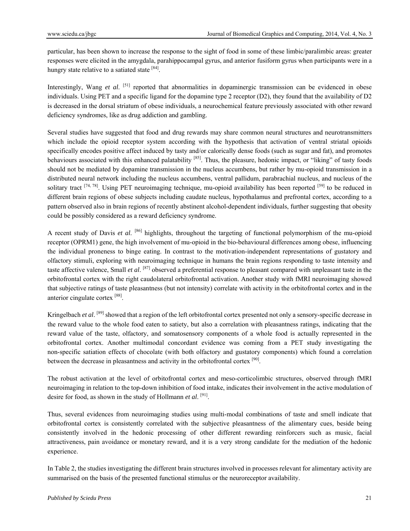particular, has been shown to increase the response to the sight of food in some of these limbic/paralimbic areas: greater responses were elicited in the amygdala, parahippocampal gyrus, and anterior fusiform gyrus when participants were in a hungry state relative to a satiated state  $[84]$ .

Interestingly, Wang *et al.* [51] reported that abnormalities in dopaminergic transmission can be evidenced in obese individuals. Using PET and a specific ligand for the dopamine type 2 receptor (D2), they found that the availability of D2 is decreased in the dorsal striatum of obese individuals, a neurochemical feature previously associated with other reward deficiency syndromes, like as drug addiction and gambling.

Several studies have suggested that food and drug rewards may share common neural structures and neurotransmitters which include the opioid receptor system according with the hypothesis that activation of ventral striatal opioids specifically encodes positive affect induced by tasty and/or calorically dense foods (such as sugar and fat), and promotes behaviours associated with this enhanced palatability <sup>[85]</sup>. Thus, the pleasure, hedonic impact, or "liking" of tasty foods should not be mediated by dopamine transmission in the nucleus accumbens, but rather by mu-opioid transmission in a distributed neural network including the nucleus accumbens, ventral pallidum, parabrachial nucleus, and nucleus of the solitary tract  $^{[74, 78]}$ . Using PET neuroimaging technique, mu-opioid availability has been reported  $^{[59]}$  to be reduced in different brain regions of obese subjects including caudate nucleus, hypothalamus and prefrontal cortex, according to a pattern observed also in brain regions of recently abstinent alcohol-dependent individuals, further suggesting that obesity could be possibly considered as a reward deficiency syndrome.

A recent study of Davis *et al.* [86] highlights, throughout the targeting of functional polymorphism of the mu-opioid receptor (OPRM1) gene, the high involvement of mu-opioid in the bio-behavioural differences among obese, influencing the individual proneness to binge eating. In contrast to the motivation-independent representations of gustatory and olfactory stimuli, exploring with neuroimaging technique in humans the brain regions responding to taste intensity and taste affective valence, Small *et al.* <sup>[87]</sup> observed a preferential response to pleasant compared with unpleasant taste in the orbitofrontal cortex with the right caudolateral orbitofrontal activation. Another study with fMRI neuroimaging showed that subjective ratings of taste pleasantness (but not intensity) correlate with activity in the orbitofrontal cortex and in the anterior cingulate cortex [88].

Kringelbach *et al.* <sup>[89]</sup> showed that a region of the left orbitofrontal cortex presented not only a sensory-specific decrease in the reward value to the whole food eaten to satiety, but also a correlation with pleasantness ratings, indicating that the reward value of the taste, olfactory, and somatosensory components of a whole food is actually represented in the orbitofrontal cortex. Another multimodal concordant evidence was coming from a PET study investigating the non-specific satiation effects of chocolate (with both olfactory and gustatory components) which found a correlation between the decrease in pleasantness and activity in the orbitofrontal cortex <sup>[90]</sup>.

The robust activation at the level of orbitofrontal cortex and meso-corticolimbic structures, observed through fMRI neuroimaging in relation to the top-down inhibition of food intake, indicates their involvement in the active modulation of desire for food, as shown in the study of Hollmann *et al*. [91].

Thus, several evidences from neuroimaging studies using multi-modal combinations of taste and smell indicate that orbitofrontal cortex is consistently correlated with the subjective pleasantness of the alimentary cues, beside being consistently involved in the hedonic processing of other different rewarding reinforcers such as music, facial attractiveness, pain avoidance or monetary reward, and it is a very strong candidate for the mediation of the hedonic experience.

In Table 2, the studies investigating the different brain structures involved in processes relevant for alimentary activity are summarised on the basis of the presented functional stimulus or the neuroreceptor availability.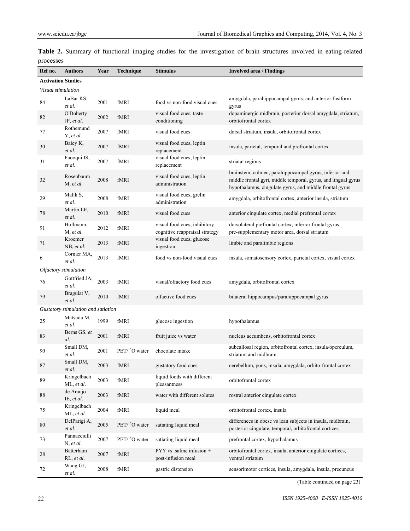| Ref no.                   | <b>Authors</b>                      | Year     | <b>Technique</b>     | Stimulus                                                       | <b>Involved area / Findings</b>                                                                                                                                                     |  |  |
|---------------------------|-------------------------------------|----------|----------------------|----------------------------------------------------------------|-------------------------------------------------------------------------------------------------------------------------------------------------------------------------------------|--|--|
| <b>Activation Studies</b> |                                     |          |                      |                                                                |                                                                                                                                                                                     |  |  |
| Visual stimulation        |                                     |          |                      |                                                                |                                                                                                                                                                                     |  |  |
| 84                        | LaBar KS,<br>et al.                 | 2001     | fMRI                 | food vs non-food visual cues                                   | amygdala, parahippocampal gyrus. and anterior fusiform<br>gyrus                                                                                                                     |  |  |
| 82                        | <b>O'Doherty</b><br>JP, et al.      | 2002     | fMRI                 | visual food cues, taste<br>conditioning                        | dopaminergic midbrain, posterior dorsal amygdala, striatum,<br>orbitofrontal cortex                                                                                                 |  |  |
| 77                        | Rothemund<br>Y, et al.              | 2007     | fMRI                 | visual food cues                                               | dorsal striatum, insula, orbitofrontal cortex                                                                                                                                       |  |  |
| 30                        | Baicy K,<br>et al.                  | 2007     | fMRI                 | visual food cues, leptin<br>replacement                        | insula, parietal, temporal and prefrontal cortex                                                                                                                                    |  |  |
| 31                        | Faooqui IS,<br>et al.               | 2007     | fMRI                 | visual food cues, leptin<br>replacement                        | striatal regions                                                                                                                                                                    |  |  |
| 32                        | Rosenbaum<br>M, et al.              | 2008     | fMRI                 | visual food cues, leptin<br>administration                     | brainstem, culmen, parahippocampal gyrus, inferior and<br>middle frontal gyri, middle temporal, gyrus, and lingual gyrus<br>hypothalamus, cingulate gyrus, and middle frontal gyrus |  |  |
| 29                        | Malik S,<br>et al.                  | 2008     | fMRI                 | visual food cues, grelin<br>administration                     | amygdala, orbitofrontal cortex, anterior insula, striatum                                                                                                                           |  |  |
| 78                        | Martin LE,<br>et al.                | 2010     | fMRI                 | visual food cues                                               | anterior cingulate cortex, medial prefrontal cortex                                                                                                                                 |  |  |
| 91                        | Hollmann<br>M, et al.               | 2012     | fMRI                 | visual food cues, inhibitory<br>cognitive reappraisal strategy | dorsolateral prefrontal cortex, inferior frontal gyrus,<br>pre-supplementary motor area, dorsal striatum                                                                            |  |  |
| 71                        | Kroemer<br>NB, et al.               | 2013     | fMRI                 | visual food cues, glucose<br>ingestion                         | limbic and paralimbic regions                                                                                                                                                       |  |  |
| 6                         | Cornier MA,<br>et al.               | 2013     | fMRI                 | food vs non-food visual cues                                   | insula, somatosensory cortex, parietal cortex, visual cortex                                                                                                                        |  |  |
|                           | Olfactory stimulation               |          |                      |                                                                |                                                                                                                                                                                     |  |  |
| 76                        | Gottfried JA,<br>et al.             | 2003     | fMRI                 | visual/olfactory food cues                                     | amygdala, orbitofrontal cortex                                                                                                                                                      |  |  |
| 79                        | Bragulat V,<br>et al.               | 2010     | fMRI                 | olfactive food cues                                            | bilateral hippocampus/parahippocampal gyrus                                                                                                                                         |  |  |
|                           | Gustatory stimulation and satiation |          |                      |                                                                |                                                                                                                                                                                     |  |  |
| 25                        | Matsuda M,<br>et al.                | 1999     | fMRI                 | glucose ingestion                                              | hypothalamus                                                                                                                                                                        |  |  |
| 83                        | Berns GS, et<br>al.                 | 2001     | fMRI                 | fruit juice vs water                                           | nucleus accumbens, orbitofrontal cortex                                                                                                                                             |  |  |
| 90                        | Small DM,<br>et al.                 | 2001     | $PET15O$ water       | chocolate intake                                               | subcallosal region, orbitofrontal cortex, insula/operculum,<br>striatum and midbrain                                                                                                |  |  |
| 87                        | Small DM,<br>et al.                 | 2003     | fMRI                 | gustatory food cues                                            | cerebellum, pons, insula, amygdala, orbito-frontal cortex                                                                                                                           |  |  |
| 89                        | Kringelbach<br>ML, et al.           | 2003     | fMRI                 | liquid foods with different<br>pleasantness                    | orbitofrontal cortex                                                                                                                                                                |  |  |
| 88                        | de Araujo<br>IE, et al.             | 2003     | fMRI                 | water with different solutes                                   | rostral anterior cingulate cortex                                                                                                                                                   |  |  |
| 75                        | Kringelbach<br>ML, et al.           | 2004     | fMRI                 | liquid meal                                                    | orbitofrontal cortex, insula                                                                                                                                                        |  |  |
| 80                        | DelParigi A,<br>et al.              | 2005     | $PET15O$ water       | satiating liquid meal                                          | differences in obese vs lean subjects in insula, midbrain,<br>posterior cingulate, temporal, orbitofrontal cortices                                                                 |  |  |
| 73                        | Pannacciulli<br>N, et al.           | 2007     | $PET/{}^{15}O$ water | satiating liquid meal                                          | prefrontal cortex, hypothalamus                                                                                                                                                     |  |  |
| 28                        | Batterham<br>RL, et al.             | 2007     | fMRI                 | PYY vs. saline infusion +<br>post-infusion meal                | orbitofrontal cortex, insula, anterior cingulate cortices,<br>ventral striatum                                                                                                      |  |  |
| 72                        | Wang GJ,<br>et al.                  | $2008\,$ | fMRI                 | gastric distension                                             | sensorimotor cortices, insula, amygdala, insula, precuneus                                                                                                                          |  |  |

**Table 2.** Summary of functional imaging studies for the investigation of brain structures involved in eating-related processes

(Table continued on page 23)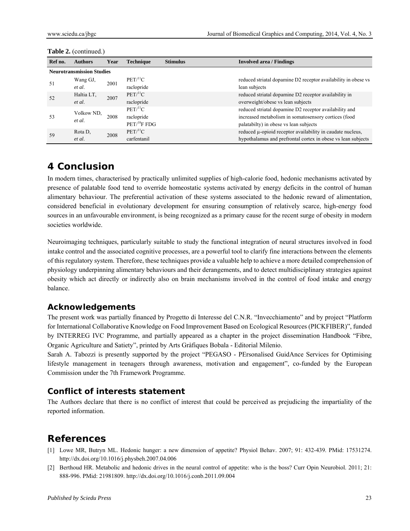| Ref no.                          | <b>Authors</b>       | Year | Technique                                                    | <b>Stimulus</b> | <b>Involved area / Findings</b>                                                                                                                          |  |
|----------------------------------|----------------------|------|--------------------------------------------------------------|-----------------|----------------------------------------------------------------------------------------------------------------------------------------------------------|--|
| <b>Neurotransmission Studies</b> |                      |      |                                                              |                 |                                                                                                                                                          |  |
| 51                               | Wang GJ,<br>et al.   | 2001 | $PET/I^{11}C$<br>raclopride                                  |                 | reduced striatal dopamine D2 receptor availability in obese vs<br>lean subjects                                                                          |  |
| 52                               | Haltia LT.<br>et al. | 2007 | PET <sup>11</sup> C<br>raclopride                            |                 | reduced striatal dopamine D2 receptor availability in<br>overweight/obese vs lean subjects                                                               |  |
| 53                               | Volkow ND.<br>et al. | 2008 | PET <sup>11</sup> C<br>raclopride<br>PET <sup>18</sup> F FDG |                 | reduced striatal dopamine D2 receptor availability and<br>increased metabolism in somatosensory cortices (food<br>palatabilty) in obese vs lean subjects |  |
| 59                               | Rota D,<br>et al.    | 2008 | PET/ <sup>11</sup> C<br>carfentanil                          |                 | reduced $\mu$ -opioid receptor availability in caudate nucleus,<br>hypothalamus and prefrontal cortex in obese vs lean subjects                          |  |

#### **Table 2.** (continued.)

## **4 Conclusion**

In modern times, characterised by practically unlimited supplies of high-calorie food, hedonic mechanisms activated by presence of palatable food tend to override homeostatic systems activated by energy deficits in the control of human alimentary behaviour. The preferential activation of these systems associated to the hedonic reward of alimentation, considered beneficial in evolutionary development for ensuring consumption of relatively scarce, high-energy food sources in an unfavourable environment, is being recognized as a primary cause for the recent surge of obesity in modern societies worldwide.

Neuroimaging techniques, particularly suitable to study the functional integration of neural structures involved in food intake control and the associated cognitive processes, are a powerful tool to clarify fine interactions between the elements of this regulatory system. Therefore, these techniques provide a valuable help to achieve a more detailed comprehension of physiology underpinning alimentary behaviours and their derangements, and to detect multidisciplinary strategies against obesity which act directly or indirectly also on brain mechanisms involved in the control of food intake and energy balance.

## **Acknowledgements**

The present work was partially financed by Progetto di Interesse del C.N.R. "Invecchiamento" and by project "Platform for International Collaborative Knowledge on Food Improvement Based on Ecological Resources (PICKFIBER)", funded by INTERREG IVC Programme, and partially appeared as a chapter in the project dissemination Handbook "Fibre, Organic Agriculture and Satiety", printed by Arts Gràfiques Bobala - Editorial Milenio.

Sarah A. Tabozzi is presently supported by the project "PEGASO - PErsonalised GuidAnce Services for Optimising lifestyle management in teenagers through awareness, motivation and engagement", co-funded by the European Commission under the 7th Framework Programme.

## **Conflict of interests statement**

The Authors declare that there is no conflict of interest that could be perceived as prejudicing the impartiality of the reported information.

## **References**

- [1] Lowe MR, Butryn ML. Hedonic hunger: a new dimension of appetite? Physiol Behav. 2007; 91: 432-439. PMid: 17531274. http://dx.doi.org/10.1016/j.physbeh.2007.04.006
- [2] Berthoud HR. Metabolic and hedonic drives in the neural control of appetite: who is the boss? Curr Opin Neurobiol. 2011; 21: 888-996. PMid: 21981809. http://dx.doi.org/10.1016/j.conb.2011.09.004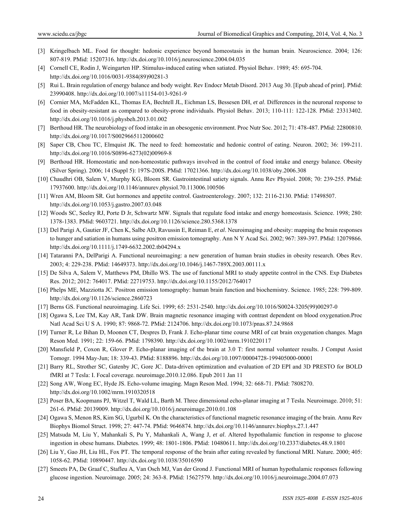- [3] Kringelbach ML. Food for thought: hedonic experience beyond homeostasis in the human brain. Neuroscience. 2004; 126: 807-819. PMid: 15207316. http://dx.doi.org/10.1016/j.neuroscience.2004.04.035
- [4] Cornell CE, Rodin J, Weingarten HP. Stimulus-induced eating when satiated. Physiol Behav. 1989; 45: 695-704. http://dx.doi.org/10.1016/0031-9384(89)90281-3
- [5] Rui L. Brain regulation of energy balance and body weight. Rev Endocr Metab Disord. 2013 Aug 30. [Epub ahead of print]. PMid: 23990408. http://dx.doi.org/10.1007/s11154-013-9261-9
- [6] Cornier MA, McFadden KL, Thomas EA, Bechtell JL, Eichman LS, Bessesen DH, *et al*. Differences in the neuronal response to food in obesity-resistant as compared to obesity-prone individuals. Physiol Behav. 2013; 110-111: 122-128. PMid: 23313402. http://dx.doi.org/10.1016/j.physbeh.2013.01.002
- [7] Berthoud HR. The neurobiology of food intake in an obesogenic environment. Proc Nutr Soc. 2012; 71: 478-487. PMid: 22800810. http://dx.doi.org/10.1017/S0029665112000602
- [8] Saper CB, Chou TC, Elmquist JK. The need to feed: homeostatic and hedonic control of eating. Neuron. 2002; 36: 199-211. http://dx.doi.org/10.1016/S0896-6273(02)00969-8
- [9] Berthoud HR. Homeostatic and non-homeostatic pathways involved in the control of food intake and energy balance. Obesity (Silver Spring). 2006; 14 (Suppl 5): 197S-200S. PMid: 17021366. http://dx.doi.org/10.1038/oby.2006.308
- [10] Chaudhri OB, Salem V, Murphy KG, Bloom SR. Gastrointestinal satiety signals. Annu Rev Physiol. 2008; 70: 239-255. PMid: 17937600. http://dx.doi.org/10.1146/annurev.physiol.70.113006.100506
- [11] Wren AM, Bloom SR. Gut hormones and appetite control. Gastroenterology. 2007; 132: 2116-2130. PMid: 17498507. http://dx.doi.org/10.1053/j.gastro.2007.03.048
- [12] Woods SC, Seeley RJ, Porte D Jr, Schwartz MW. Signals that regulate food intake and energy homeostasis. Science. 1998; 280: 1378-1383. PMid: 9603721. http://dx.doi.org/10.1126/science.280.5368.1378
- [13] Del Parigi A, Gautier JF, Chen K, Salbe AD, Ravussin E, Reiman E, *et al*. Neuroimaging and obesity: mapping the brain responses to hunger and satiation in humans using positron emission tomography. Ann N Y Acad Sci. 2002; 967: 389-397. PMid: 12079866. http://dx.doi.org/10.1111/j.1749-6632.2002.tb04294.x
- [14] Tataranni PA, DelParigi A. Functional neuroimaging: a new generation of human brain studies in obesity research. Obes Rev. 2003; 4: 229-238. PMid: 14649373. http://dx.doi.org/10.1046/j.1467-789X.2003.00111.x
- [15] De Silva A, Salem V, Matthews PM, Dhillo WS. The use of functional MRI to study appetite control in the CNS. Exp Diabetes Res. 2012; 2012: 764017. PMid: 22719753. http://dx.doi.org/10.1155/2012/764017
- [16] Phelps ME, Mazziotta JC. Positron emission tomography: human brain function and biochemistry. Science. 1985; 228: 799-809. http://dx.doi.org/10.1126/science.2860723
- [17] Berns GS. Functional neuroimaging. Life Sci. 1999; 65: 2531-2540. http://dx.doi.org/10.1016/S0024-3205(99)00297-0
- [18] Ogawa S, Lee TM, Kay AR, Tank DW. Brain magnetic resonance imaging with contrast dependent on blood oxygenation.Proc Natl Acad Sci U S A. 1990; 87: 9868-72. PMid: 2124706. http://dx.doi.org/10.1073/pnas.87.24.9868
- [19] Turner R, Le Bihan D, Moonen CT, Despres D, Frank J. Echo-planar time course MRI of cat brain oxygenation changes. Magn Reson Med. 1991; 22: 159-66. PMid: 1798390. http://dx.doi.org/10.1002/mrm.1910220117
- [20] Mansfield P, Coxon R, Glover P. Echo-planar imaging of the brain at 3.0 T: first normal volunteer results. J Comput Assist Tomogr. 1994 May-Jun; 18: 339-43. PMid: 8188896. http://dx.doi.org/10.1097/00004728-199405000-00001
- [21] Barry RL, Strother SC, Gatenby JC, Gore JC. Data-driven optimization and evaluation of 2D EPI and 3D PRESTO for BOLD fMRI at 7 Tesla: I. Focal coverage. neuroimage.2010.12.086. Epub 2011 Jan 11
- [22] Song AW, Wong EC, Hyde JS. Echo-volume imaging. Magn Reson Med. 1994; 32: 668-71. PMid: 7808270. http://dx.doi.org/10.1002/mrm.1910320518
- [23] Poser BA, Koopmans PJ, Witzel T, Wald LL, Barth M. Three dimensional echo-planar imaging at 7 Tesla. Neuroimage. 2010; 51: 261-6. PMid: 20139009. http://dx.doi.org/10.1016/j.neuroimage.2010.01.108
- [24] Ogawa S, Menon RS, Kim SG, Ugurbil K. On the characteristics of functional magnetic resonance imaging of the brain. Annu Rev Biophys Biomol Struct. 1998; 27: 447-74. PMid: 9646874. http://dx.doi.org/10.1146/annurev.biophys.27.1.447
- [25] Matsuda M, Liu Y, Mahankali S, Pu Y, Mahankali A, Wang J, *et al*. Altered hypothalamic function in response to glucose ingestion in obese humans. Diabetes. 1999; 48: 1801-1806. PMid: 10480611. http://dx.doi.org/10.2337/diabetes.48.9.1801
- [26] Liu Y, Gao JH, Liu HL, Fox PT. The temporal response of the brain after eating revealed by functional MRI. Nature. 2000; 405: 1058-62. PMid: 10890447. http://dx.doi.org/10.1038/35016590
- [27] Smeets PA, De Graaf C, Stafleu A, Van Osch MJ, Van der Grond J. Functional MRI of human hypothalamic responses following glucose ingestion. Neuroimage. 2005; 24: 363-8. PMid: 15627579. http://dx.doi.org/10.1016/j.neuroimage.2004.07.073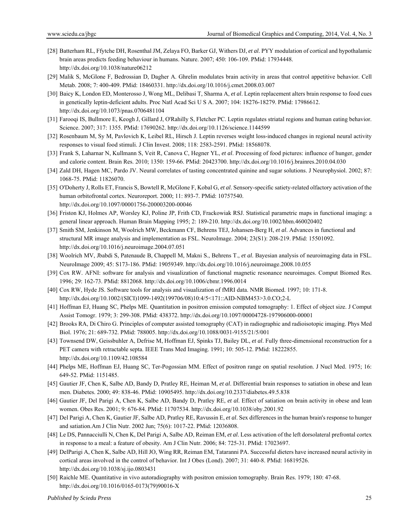- [28] Batterham RL, Ffytche DH, Rosenthal JM, Zelaya FO, Barker GJ, Withers DJ, *et al*. PYY modulation of cortical and hypothalamic brain areas predicts feeding behaviour in humans. Nature. 2007; 450: 106-109. PMid: 17934448. http://dx.doi.org/10.1038/nature06212
- [29] Malik S, McGlone F, Bedrossian D, Dagher A. Ghrelin modulates brain activity in areas that control appetitive behavior. Cell Metab. 2008; 7: 400-409. PMid: 18460331. http://dx.doi.org/10.1016/j.cmet.2008.03.007
- [30] Baicy K, London ED, Monterosso J, Wong ML, Delibasi T, Sharma A, *et al*. Leptin replacement alters brain response to food cues in genetically leptin-deficient adults. Proc Natl Acad Sci U S A. 2007; 104: 18276-18279. PMid: 17986612. http://dx.doi.org/10.1073/pnas.0706481104
- [31] Farooqi IS, Bullmore E, Keogh J, Gillard J, O'Rahilly S, Fletcher PC. Leptin regulates striatal regions and human eating behavior. Science. 2007; 317: 1355. PMid: 17690262. http://dx.doi.org/10.1126/science.1144599
- [32] Rosenbaum M, Sy M, Pavlovich K, Leibel RL, Hirsch J. Leptin reverses weight loss-induced changes in regional neural activity responses to visual food stimuli. J Clin Invest. 2008; 118: 2583-2591. PMid: 18568078.
- [33] Frank S, Laharnar N, Kullmann S, Veit R, Canova C, Hegner YL, *et al*. Processing of food pictures: influence of hunger, gender and calorie content. Brain Res. 2010; 1350: 159-66. PMid: 20423700. http://dx.doi.org/10.1016/j.brainres.2010.04.030
- [34] Zald DH, Hagen MC, Pardo JV. Neural correlates of tasting concentrated quinine and sugar solutions. J Neurophysiol. 2002; 87: 1068-75. PMid: 11826070.
- [35] O'Doherty J, Rolls ET, Francis S, Bowtell R, McGlone F, Kobal G, *et al*. Sensory-specific satiety-related olfactory activation of the human orbitofrontal cortex. Neuroreport. 2000; 11: 893-7. PMid: 10757540. http://dx.doi.org/10.1097/00001756-200003200-00046
- [36] Friston KJ, Holmes AP, Worsley KJ, Poline JP, Frith CD, Frackowiak RSJ. Statistical parametric maps in functional imaging: a general linear approach. Human Brain Mapping 1995; 2: 189-210. http://dx.doi.org/10.1002/hbm.460020402
- [37] Smith SM, Jenkinson M, Woolrich MW, Beckmann CF, Behrens TEJ, Johansen-Berg H, *et al*. Advances in functional and structural MR image analysis and implementation as FSL. NeuroImage. 2004; 23(S1): 208-219. PMid: 15501092. http://dx.doi.org/10.1016/j.neuroimage.2004.07.051
- [38] Woolrich MV, Jbabdi S, Patenaude B, Chappell M, Makni S., Behrens T., *et al*. Bayesian analysis of neuroimaging data in FSL. NeuroImage 2009; 45: S173-186. PMid: 19059349. http://dx.doi.org/10.1016/j.neuroimage.2008.10.055
- [39] Cox RW. AFNI: software for analysis and visualization of functional magnetic resonance neuroimages. Comput Biomed Res. 1996; 29: 162-73. PMid: 8812068. http://dx.doi.org/10.1006/cbmr.1996.0014
- [40] Cox RW, Hyde JS. Software tools for analysis and visualization of fMRI data. NMR Biomed. 1997; 10: 171-8. http://dx.doi.org/10.1002/(SICI)1099-1492(199706/08)10:4/5<171::AID-NBM453>3.0.CO;2-L
- [41] Hoffman EJ, Huang SC, Phelps ME. Quantitation in positron emission computed tomography: 1. Effect of object size. J Comput Assist Tomogr. 1979; 3: 299-308. PMid: 438372. http://dx.doi.org/10.1097/00004728-197906000-00001
- [42] Brooks RA, Di Chiro G. Principles of computer assisted tomography (CAT) in radiographic and radioisotopic imaging. Phys Med Biol. 1976; 21: 689-732. PMid: 788005. http://dx.doi.org/10.1088/0031-9155/21/5/001
- [43] Townsend DW, Geissbuhler A, Defrise M, Hoffman EJ, Spinks TJ, Bailey DL, *et al*. Fully three-dimensional reconstruction for a PET camera with retractable septa. IEEE Trans Med Imaging. 1991; 10: 505-12. PMid: 18222855. http://dx.doi.org/10.1109/42.108584
- [44] Phelps ME, Hoffman EJ, Huang SC, Ter-Pogossian MM. Effect of positron range on spatial resolution. J Nucl Med. 1975; 16: 649-52. PMid: 1151485.
- [45] Gautier JF, Chen K, Salbe AD, Bandy D, Pratley RE, Heiman M, *et al*. Differential brain responses to satiation in obese and lean men. Diabetes. 2000; 49: 838-46. PMid: 10905495. http://dx.doi.org/10.2337/diabetes.49.5.838
- [46] Gautier JF, Del Parigi A, Chen K, Salbe AD, Bandy D, Pratley RE, *et al*. Effect of satiation on brain activity in obese and lean women. Obes Res. 2001; 9: 676-84. PMid: 11707534. http://dx.doi.org/10.1038/oby.2001.92
- [47] Del Parigi A, Chen K, Gautier JF, Salbe AD, Pratley RE, Ravussin E, *et al*. Sex differences in the human brain's response to hunger and satiation.Am J Clin Nutr. 2002 Jun; 75(6): 1017-22. PMid: 12036808.
- [48] Le DS, Pannacciulli N, Chen K, Del Parigi A, Salbe AD, Reiman EM, *et al*. Less activation of the left dorsolateral prefrontal cortex in response to a meal: a feature of obesity. Am J Clin Nutr. 2006; 84: 725-31. PMid: 17023697.
- [49] DelParigi A, Chen K, Salbe AD, Hill JO, Wing RR, Reiman EM, Tataranni PA. Successful dieters have increased neural activity in cortical areas involved in the control of behavior. Int J Obes (Lond). 2007; 31: 440-8. PMid: 16819526. http://dx.doi.org/10.1038/sj.ijo.0803431
- [50] Raichle ME. Quantitative in vivo autoradiography with positron emission tomography. Brain Res. 1979; 180: 47-68. http://dx.doi.org/10.1016/0165-0173(79)90016-X

*Published by Sciedu Press* 25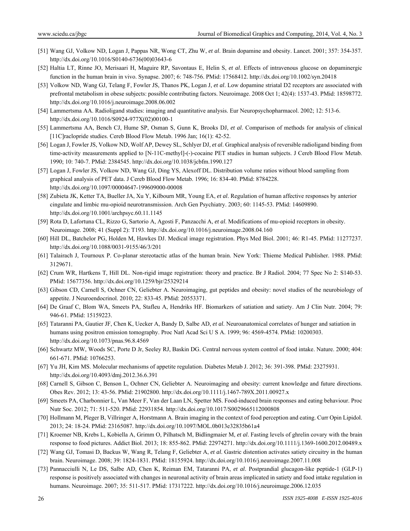- [51] Wang GJ, Volkow ND, Logan J, Pappas NR, Wong CT, Zhu W, *et al*. Brain dopamine and obesity. Lancet. 2001; 357: 354-357. http://dx.doi.org/10.1016/S0140-6736(00)03643-6
- [52] Haltia LT, Rinne JO, Merisaari H, Maguire RP, Savontaus E, Helin S, *et al*. Effects of intravenous glucose on dopaminergic function in the human brain in vivo. Synapse. 2007; 6: 748-756. PMid: 17568412. http://dx.doi.org/10.1002/syn.20418
- [53] Volkow ND, Wang GJ, Telang F, Fowler JS, Thanos PK, Logan J, *et al*. Low dopamine striatal D2 receptors are associated with prefrontal metabolism in obese subjects: possible contributing factors. Neuroimage. 2008 Oct 1; 42(4): 1537-43. PMid: 18598772. http://dx.doi.org/10.1016/j.neuroimage.2008.06.002
- [54] Lammertsma AA. Radioligand studies: imaging and quantitative analysis. Eur Neuropsychopharmacol. 2002; 12: 513-6. http://dx.doi.org/10.1016/S0924-977X(02)00100-1
- [55] Lammertsma AA, Bench CJ, Hume SP, Osman S, Gunn K, Brooks DJ, *et al*. Comparison of methods for analysis of clinical [11C]raclopride studies. Cereb Blood Flow Metab. 1996 Jan; 16(1): 42-52.
- [56] Logan J, Fowler JS, Volkow ND, Wolf AP, Dewey SL, Schlyer DJ, *et al*. Graphical analysis of reversible radioligand binding from time-activity measurements applied to [N-11C-methyl]-(-)-cocaine PET studies in human subjects. J Cereb Blood Flow Metab. 1990; 10: 740-7. PMid: 2384545. http://dx.doi.org/10.1038/jcbfm.1990.127
- [57] Logan J, Fowler JS, Volkow ND, Wang GJ, Ding YS, Alexoff DL. Distribution volume ratios without blood sampling from graphical analysis of PET data. J Cereb Blood Flow Metab. 1996; 16: 834-40. PMid: 8784228. http://dx.doi.org/10.1097/00004647-199609000-00008
- [58] Zubieta JK, Ketter TA, Bueller JA, Xu Y, Kilbourn MR, Young EA, *et al*. Regulation of human affective responses by anterior cingulate and limbic mu-opioid neurotransmission. Arch Gen Psychiatry. 2003; 60: 1145-53. PMid: 14609890. http://dx.doi.org/10.1001/archpsyc.60.11.1145
- [59] Rota D, Lafortuna CL, Rizzo G, Sartorio A, Agosti F, Panzacchi A, *et al*. Modifications of mu-opioid receptors in obesity. Neuroimage. 2008; 41 (Suppl 2): T193. http://dx.doi.org/10.1016/j.neuroimage.2008.04.160
- [60] Hill DL, Batchelor PG, Holden M, Hawkes DJ. Medical image registration. Phys Med Biol. 2001; 46: R1-45. PMid: 11277237. http://dx.doi.org/10.1088/0031-9155/46/3/201
- [61] Talairach J, Tournoux P. Co-planar stereotactic atlas of the human brain. New York: Thieme Medical Publisher. 1988. PMid: 3129671.
- [62] Crum WR, Hartkens T, Hill DL. Non-rigid image registration: theory and practice. Br J Radiol. 2004; 77 Spec No 2: S140-53. PMid: 15677356. http://dx.doi.org/10.1259/bjr/25329214
- [63] Gibson CD, Carnell S, Ochner CN, Geliebter A. Neuroimaging, gut peptides and obesity: novel studies of the neurobiology of appetite. J Neuroendocrinol. 2010; 22: 833-45. PMid: 20553371.
- [64] De Graaf C, Blom WA, Smeets PA, Stafleu A, Hendriks HF. Biomarkers of satiation and satiety. Am J Clin Nutr. 2004; 79: 946-61. PMid: 15159223.
- [65] Tataranni PA, Gautier JF, Chen K, Uecker A, Bandy D, Salbe AD, *et al*. Neuroanatomical correlates of hunger and satiation in humans using positron emission tomography. Proc Natl Acad Sci U S A. 1999; 96: 4569-4574. PMid: 10200303. http://dx.doi.org/10.1073/pnas.96.8.4569
- [66] Schwartz MW, Woods SC, Porte D Jr, Seeley RJ, Baskin DG. Central nervous system control of food intake. Nature. 2000; 404: 661-671. PMid: 10766253.
- [67] Yu JH, Kim MS. Molecular mechanisms of appetite regulation. Diabetes Metab J. 2012; 36: 391-398. PMid: 23275931. http://dx.doi.org/10.4093/dmj.2012.36.6.391
- [68] Carnell S, Gibson C, Benson L, Ochner CN, Geliebter A. Neuroimaging and obesity: current knowledge and future directions. Obes Rev. 2012; 13: 43-56. PMid: 21902800. http://dx.doi.org/10.1111/j.1467-789X.2011.00927.x
- [69] Smeets PA, Charbonnier L, Van Meer F, Van der Laan LN, Spetter MS. Food-induced brain responses and eating behaviour. Proc Nutr Soc. 2012; 71: 511-520. PMid: 22931854. http://dx.doi.org/10.1017/S0029665112000808
- [70] Hollmann M, Pleger B, Villringer A, Horstmann A. Brain imaging in the context of food perception and eating. Curr Opin Lipidol. 2013; 24: 18-24. PMid: 23165087. http://dx.doi.org/10.1097/MOL.0b013e32835b61a4
- [71] Kroemer NB, Krebs L, Kobiella A, Grimm O, Pilhatsch M, Bidlingmaier M, *et al*. Fasting levels of ghrelin covary with the brain response to food pictures. Addict Biol. 2013; 18: 855-862. PMid: 22974271. http://dx.doi.org/10.1111/j.1369-1600.2012.00489.x
- [72] Wang GJ, Tomasi D, Backus W, Wang R, Telang F, Geliebter A, *et al*. Gastric distention activates satiety circuitry in the human brain. Neuroimage. 2008; 39: 1824-1831. PMid: 18155924. http://dx.doi.org/10.1016/j.neuroimage.2007.11.008
- [73] Pannacciulli N, Le DS, Salbe AD, Chen K, Reiman EM, Tataranni PA, *et al*. Postprandial glucagon-like peptide-1 (GLP-1) response is positively associated with changes in neuronal activity of brain areas implicated in satiety and food intake regulation in humans. Neuroimage. 2007; 35: 511-517. PMid: 17317222. http://dx.doi.org/10.1016/j.neuroimage.2006.12.035